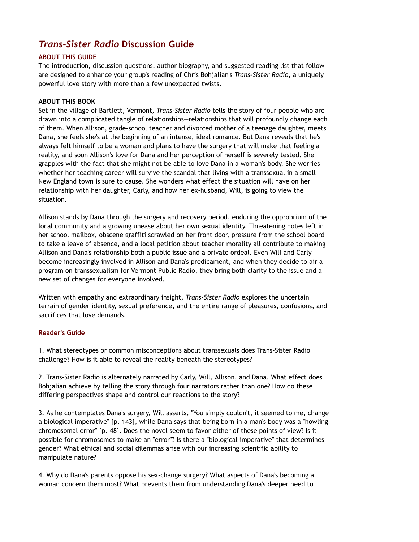# *Trans-Sister Radio* **Discussion Guide**

# **ABOUT THIS GUIDE**

The introduction, discussion questions, author biography, and suggested reading list that follow are designed to enhance your group's reading of Chris Bohjalian's *Trans-Sister Radio*, a uniquely powerful love story with more than a few unexpected twists.

### **ABOUT THIS BOOK**

Set in the village of Bartlett, Vermont, *Trans-Sister Radio* tells the story of four people who are drawn into a complicated tangle of relationships—relationships that will profoundly change each of them. When Allison, grade-school teacher and divorced mother of a teenage daughter, meets Dana, she feels she's at the beginning of an intense, ideal romance. But Dana reveals that he's always felt himself to be a woman and plans to have the surgery that will make that feeling a reality, and soon Allison's love for Dana and her perception of herself is severely tested. She grapples with the fact that she might not be able to love Dana in a woman's body. She worries whether her teaching career will survive the scandal that living with a transsexual in a small New England town is sure to cause. She wonders what effect the situation will have on her relationship with her daughter, Carly, and how her ex-husband, Will, is going to view the situation.

Allison stands by Dana through the surgery and recovery period, enduring the opprobrium of the local community and a growing unease about her own sexual identity. Threatening notes left in her school mailbox, obscene graffiti scrawled on her front door, pressure from the school board to take a leave of absence, and a local petition about teacher morality all contribute to making Allison and Dana's relationship both a public issue and a private ordeal. Even Will and Carly become increasingly involved in Allison and Dana's predicament, and when they decide to air a program on transsexualism for Vermont Public Radio, they bring both clarity to the issue and a new set of changes for everyone involved.

Written with empathy and extraordinary insight, *Trans-Sister Radio* explores the uncertain terrain of gender identity, sexual preference, and the entire range of pleasures, confusions, and sacrifices that love demands.

## **Reader's Guide**

1. What stereotypes or common misconceptions about transsexuals does Trans-Sister Radio challenge? How is it able to reveal the reality beneath the stereotypes?

2. Trans-Sister Radio is alternately narrated by Carly, Will, Allison, and Dana. What effect does Bohjalian achieve by telling the story through four narrators rather than one? How do these differing perspectives shape and control our reactions to the story?

3. As he contemplates Dana's surgery, Will asserts, "You simply couldn't, it seemed to me, change a biological imperative" [p. 143], while Dana says that being born in a man's body was a "howling chromosomal error" [p. 48]. Does the novel seem to favor either of these points of view? Is it possible for chromosomes to make an "error"? Is there a "biological imperative" that determines gender? What ethical and social dilemmas arise with our increasing scientific ability to manipulate nature?

4. Why do Dana's parents oppose his sex-change surgery? What aspects of Dana's becoming a woman concern them most? What prevents them from understanding Dana's deeper need to